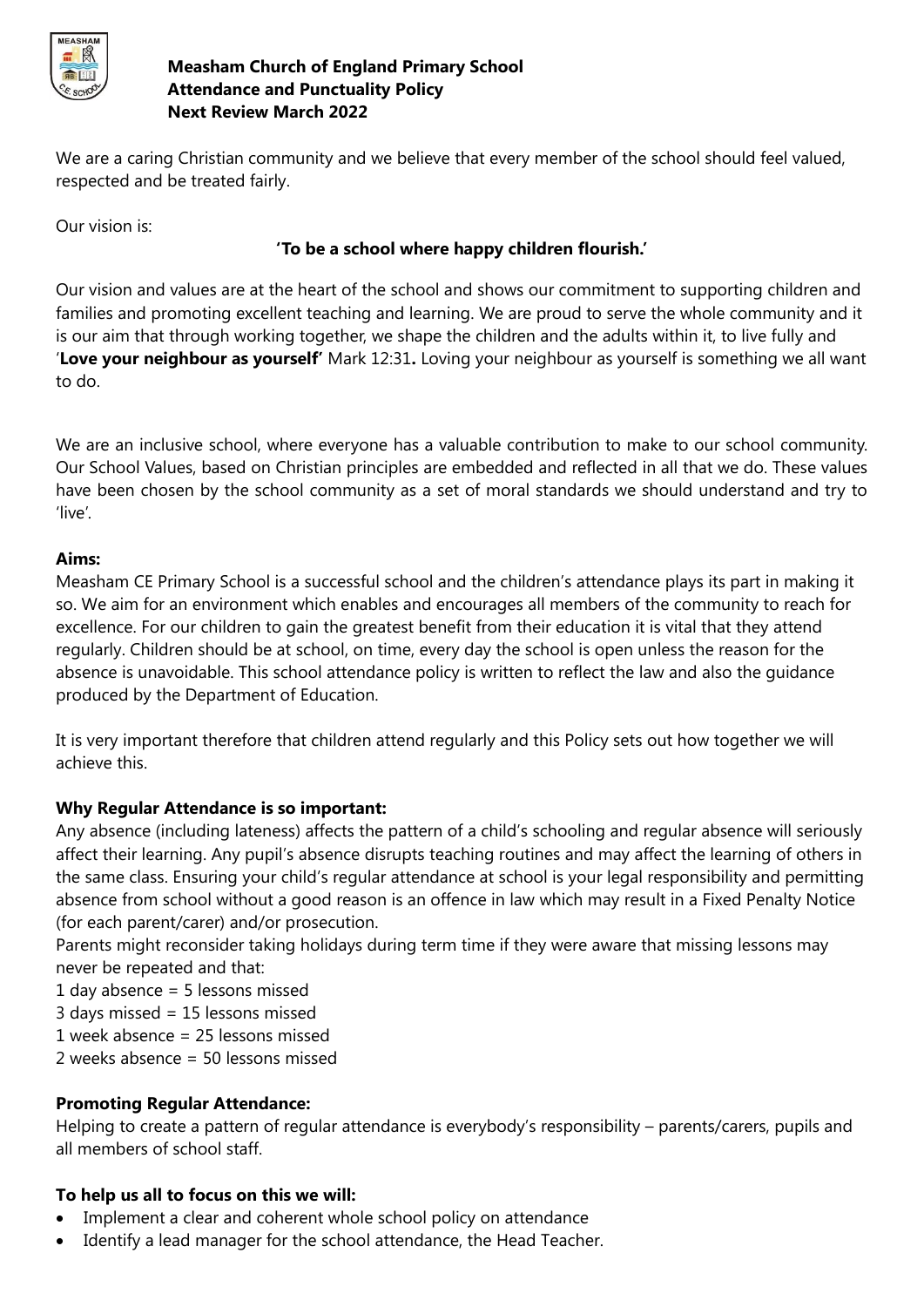

We are a caring Christian community and we believe that every member of the school should feel valued, respected and be treated fairly.

Our vision is:

# **'To be a school where happy children flourish.'**

Our vision and values are at the heart of the school and shows our commitment to supporting children and families and promoting excellent teaching and learning. We are proud to serve the whole community and it is our aim that through working together, we shape the children and the adults within it, to live fully and '**Love your neighbour as yourself'** Mark 12:31**.** Loving your neighbour as yourself is something we all want to do.

We are an inclusive school, where everyone has a valuable contribution to make to our school community. Our School Values, based on Christian principles are embedded and reflected in all that we do. These values have been chosen by the school community as a set of moral standards we should understand and try to 'live'.

## **Aims:**

Measham CE Primary School is a successful school and the children's attendance plays its part in making it so. We aim for an environment which enables and encourages all members of the community to reach for excellence. For our children to gain the greatest benefit from their education it is vital that they attend regularly. Children should be at school, on time, every day the school is open unless the reason for the absence is unavoidable. This school attendance policy is written to reflect the law and also the guidance produced by the Department of Education.

It is very important therefore that children attend regularly and this Policy sets out how together we will achieve this.

# **Why Regular Attendance is so important:**

Any absence (including lateness) affects the pattern of a child's schooling and regular absence will seriously affect their learning. Any pupil's absence disrupts teaching routines and may affect the learning of others in the same class. Ensuring your child's regular attendance at school is your legal responsibility and permitting absence from school without a good reason is an offence in law which may result in a Fixed Penalty Notice (for each parent/carer) and/or prosecution.

Parents might reconsider taking holidays during term time if they were aware that missing lessons may never be repeated and that:

- 1 day absence = 5 lessons missed
- 3 days missed = 15 lessons missed
- 1 week absence = 25 lessons missed
- 2 weeks absence = 50 lessons missed

#### **Promoting Regular Attendance:**

Helping to create a pattern of regular attendance is everybody's responsibility – parents/carers, pupils and all members of school staff.

# **To help us all to focus on this we will:**

- Implement a clear and coherent whole school policy on attendance
- Identify a lead manager for the school attendance, the Head Teacher.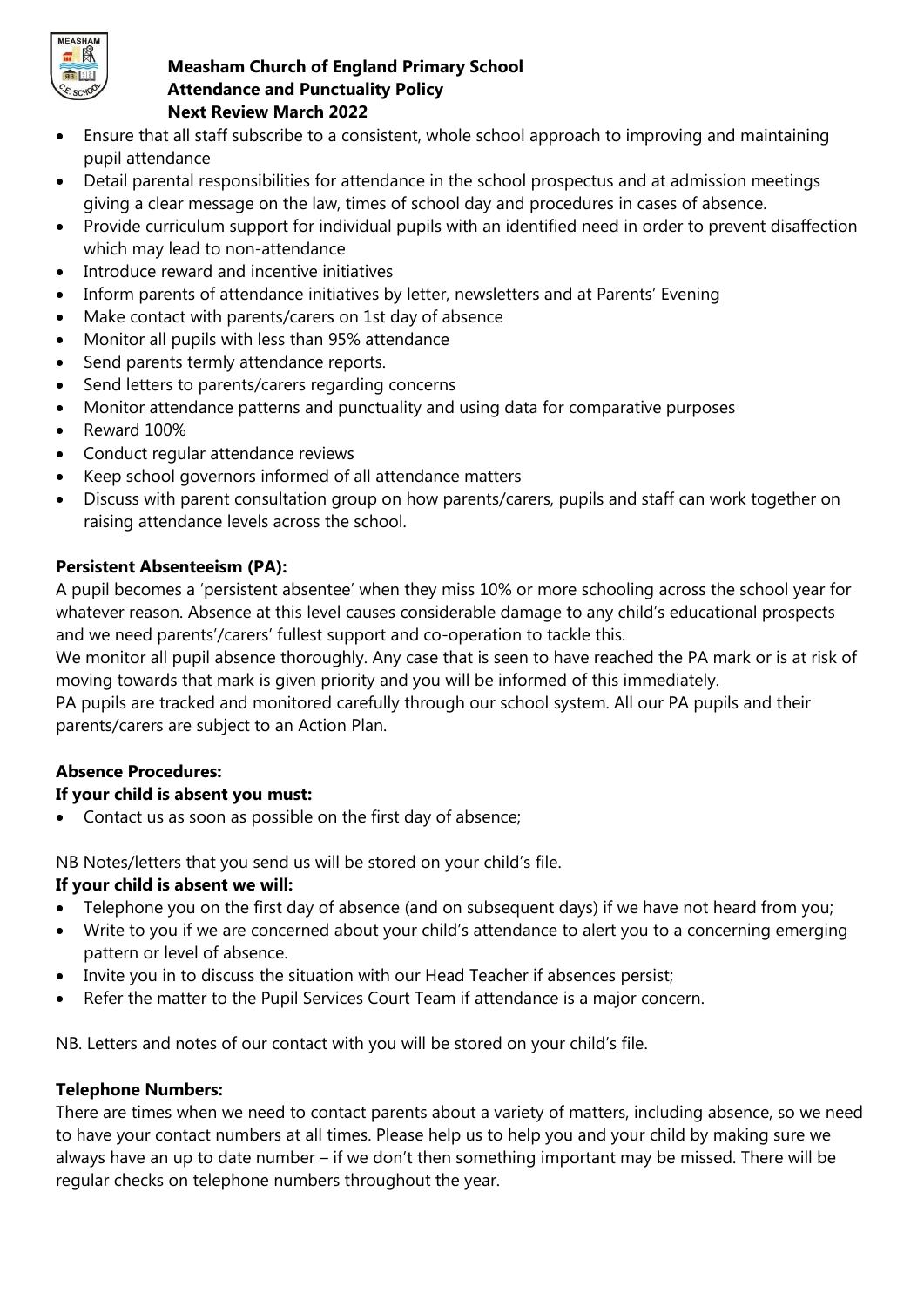

- Ensure that all staff subscribe to a consistent, whole school approach to improving and maintaining pupil attendance
- Detail parental responsibilities for attendance in the school prospectus and at admission meetings giving a clear message on the law, times of school day and procedures in cases of absence.
- Provide curriculum support for individual pupils with an identified need in order to prevent disaffection which may lead to non-attendance
- Introduce reward and incentive initiatives
- Inform parents of attendance initiatives by letter, newsletters and at Parents' Evening
- Make contact with parents/carers on 1st day of absence
- Monitor all pupils with less than 95% attendance
- Send parents termly attendance reports.
- Send letters to parents/carers regarding concerns
- Monitor attendance patterns and punctuality and using data for comparative purposes
- Reward 100%
- Conduct regular attendance reviews
- Keep school governors informed of all attendance matters
- Discuss with parent consultation group on how parents/carers, pupils and staff can work together on raising attendance levels across the school.

#### **Persistent Absenteeism (PA):**

A pupil becomes a 'persistent absentee' when they miss 10% or more schooling across the school year for whatever reason. Absence at this level causes considerable damage to any child's educational prospects and we need parents'/carers' fullest support and co-operation to tackle this.

We monitor all pupil absence thoroughly. Any case that is seen to have reached the PA mark or is at risk of moving towards that mark is given priority and you will be informed of this immediately.

PA pupils are tracked and monitored carefully through our school system. All our PA pupils and their parents/carers are subject to an Action Plan.

#### **Absence Procedures:**

#### **If your child is absent you must:**

Contact us as soon as possible on the first day of absence;

NB Notes/letters that you send us will be stored on your child's file.

# **If your child is absent we will:**

- Telephone you on the first day of absence (and on subsequent days) if we have not heard from you;
- Write to you if we are concerned about your child's attendance to alert you to a concerning emerging pattern or level of absence.
- Invite you in to discuss the situation with our Head Teacher if absences persist;
- Refer the matter to the Pupil Services Court Team if attendance is a major concern.

NB. Letters and notes of our contact with you will be stored on your child's file.

#### **Telephone Numbers:**

There are times when we need to contact parents about a variety of matters, including absence, so we need to have your contact numbers at all times. Please help us to help you and your child by making sure we always have an up to date number – if we don't then something important may be missed. There will be regular checks on telephone numbers throughout the year.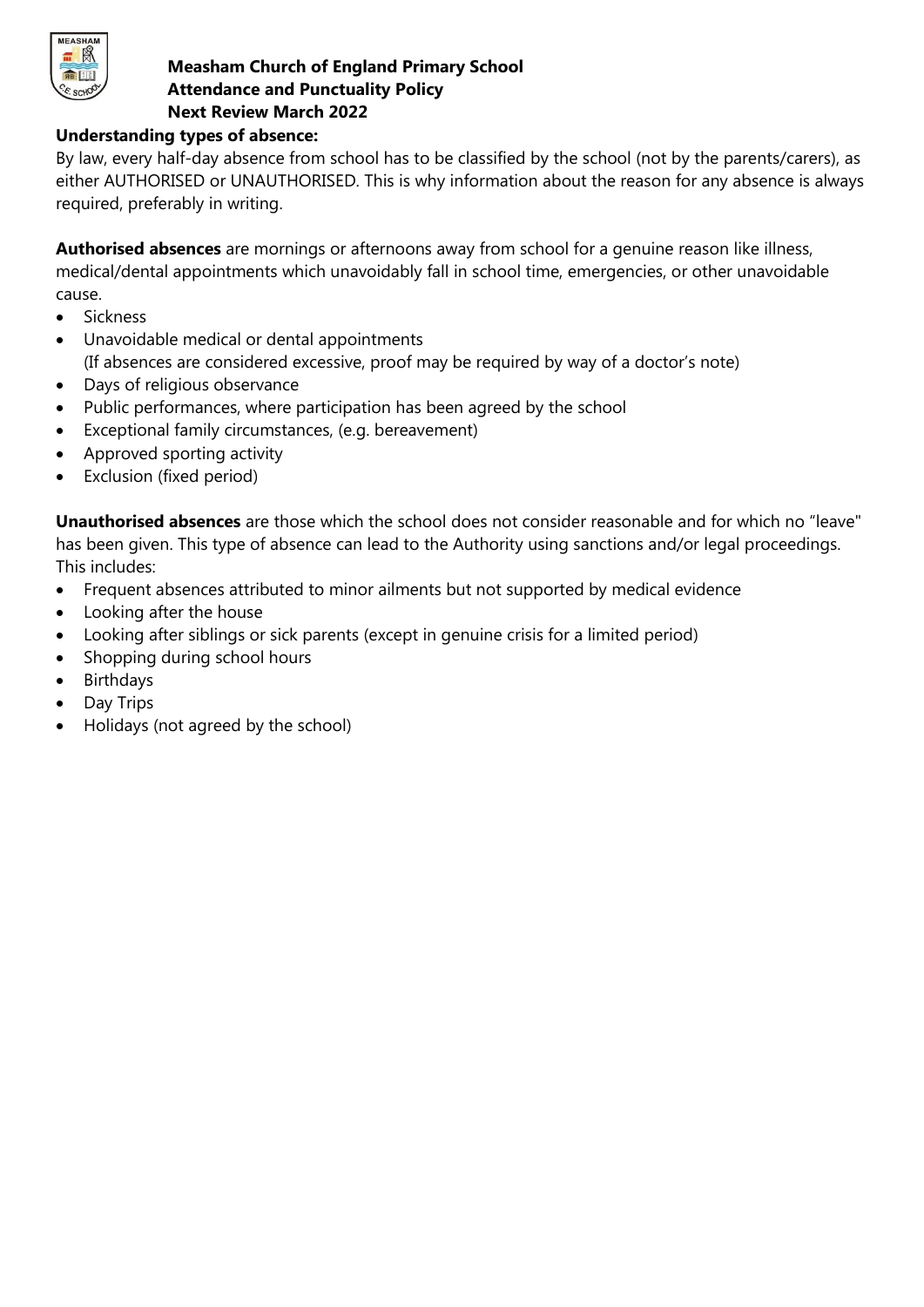

#### **Understanding types of absence:**

By law, every half-day absence from school has to be classified by the school (not by the parents/carers), as either AUTHORISED or UNAUTHORISED. This is why information about the reason for any absence is always required, preferably in writing.

**Authorised absences** are mornings or afternoons away from school for a genuine reason like illness, medical/dental appointments which unavoidably fall in school time, emergencies, or other unavoidable cause.

- Sickness
- Unavoidable medical or dental appointments (If absences are considered excessive, proof may be required by way of a doctor's note)
- Days of religious observance
- Public performances, where participation has been agreed by the school
- Exceptional family circumstances, (e.g. bereavement)
- Approved sporting activity
- Exclusion (fixed period)

**Unauthorised absences** are those which the school does not consider reasonable and for which no "leave" has been given. This type of absence can lead to the Authority using sanctions and/or legal proceedings. This includes:

- Frequent absences attributed to minor ailments but not supported by medical evidence
- Looking after the house
- Looking after siblings or sick parents (except in genuine crisis for a limited period)
- Shopping during school hours
- Birthdays
- Day Trips
- Holidays (not agreed by the school)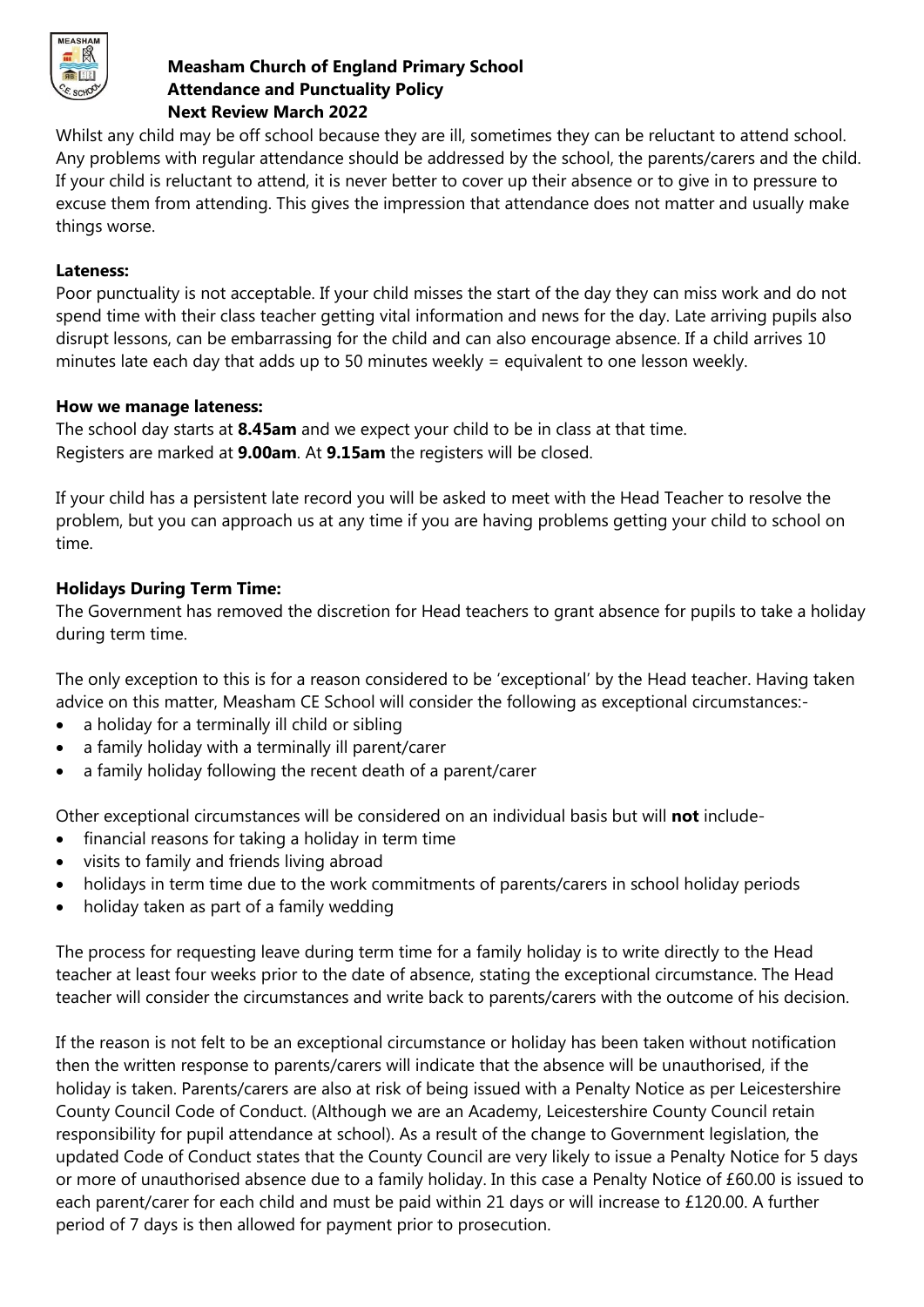

Whilst any child may be off school because they are ill, sometimes they can be reluctant to attend school. Any problems with regular attendance should be addressed by the school, the parents/carers and the child. If your child is reluctant to attend, it is never better to cover up their absence or to give in to pressure to excuse them from attending. This gives the impression that attendance does not matter and usually make things worse.

#### **Lateness:**

Poor punctuality is not acceptable. If your child misses the start of the day they can miss work and do not spend time with their class teacher getting vital information and news for the day. Late arriving pupils also disrupt lessons, can be embarrassing for the child and can also encourage absence. If a child arrives 10 minutes late each day that adds up to 50 minutes weekly = equivalent to one lesson weekly.

## **How we manage lateness:**

The school day starts at **8.45am** and we expect your child to be in class at that time. Registers are marked at **9.00am**. At **9.15am** the registers will be closed.

If your child has a persistent late record you will be asked to meet with the Head Teacher to resolve the problem, but you can approach us at any time if you are having problems getting your child to school on time.

# **Holidays During Term Time:**

The Government has removed the discretion for Head teachers to grant absence for pupils to take a holiday during term time.

The only exception to this is for a reason considered to be 'exceptional' by the Head teacher. Having taken advice on this matter, Measham CE School will consider the following as exceptional circumstances:-

- a holiday for a terminally ill child or sibling
- a family holiday with a terminally ill parent/carer
- a family holiday following the recent death of a parent/carer

Other exceptional circumstances will be considered on an individual basis but will **not** include-

- financial reasons for taking a holiday in term time
- visits to family and friends living abroad
- holidays in term time due to the work commitments of parents/carers in school holiday periods
- holiday taken as part of a family wedding

The process for requesting leave during term time for a family holiday is to write directly to the Head teacher at least four weeks prior to the date of absence, stating the exceptional circumstance. The Head teacher will consider the circumstances and write back to parents/carers with the outcome of his decision.

If the reason is not felt to be an exceptional circumstance or holiday has been taken without notification then the written response to parents/carers will indicate that the absence will be unauthorised, if the holiday is taken. Parents/carers are also at risk of being issued with a Penalty Notice as per Leicestershire County Council Code of Conduct. (Although we are an Academy, Leicestershire County Council retain responsibility for pupil attendance at school). As a result of the change to Government legislation, the updated Code of Conduct states that the County Council are very likely to issue a Penalty Notice for 5 days or more of unauthorised absence due to a family holiday. In this case a Penalty Notice of £60.00 is issued to each parent/carer for each child and must be paid within 21 days or will increase to £120.00. A further period of 7 days is then allowed for payment prior to prosecution.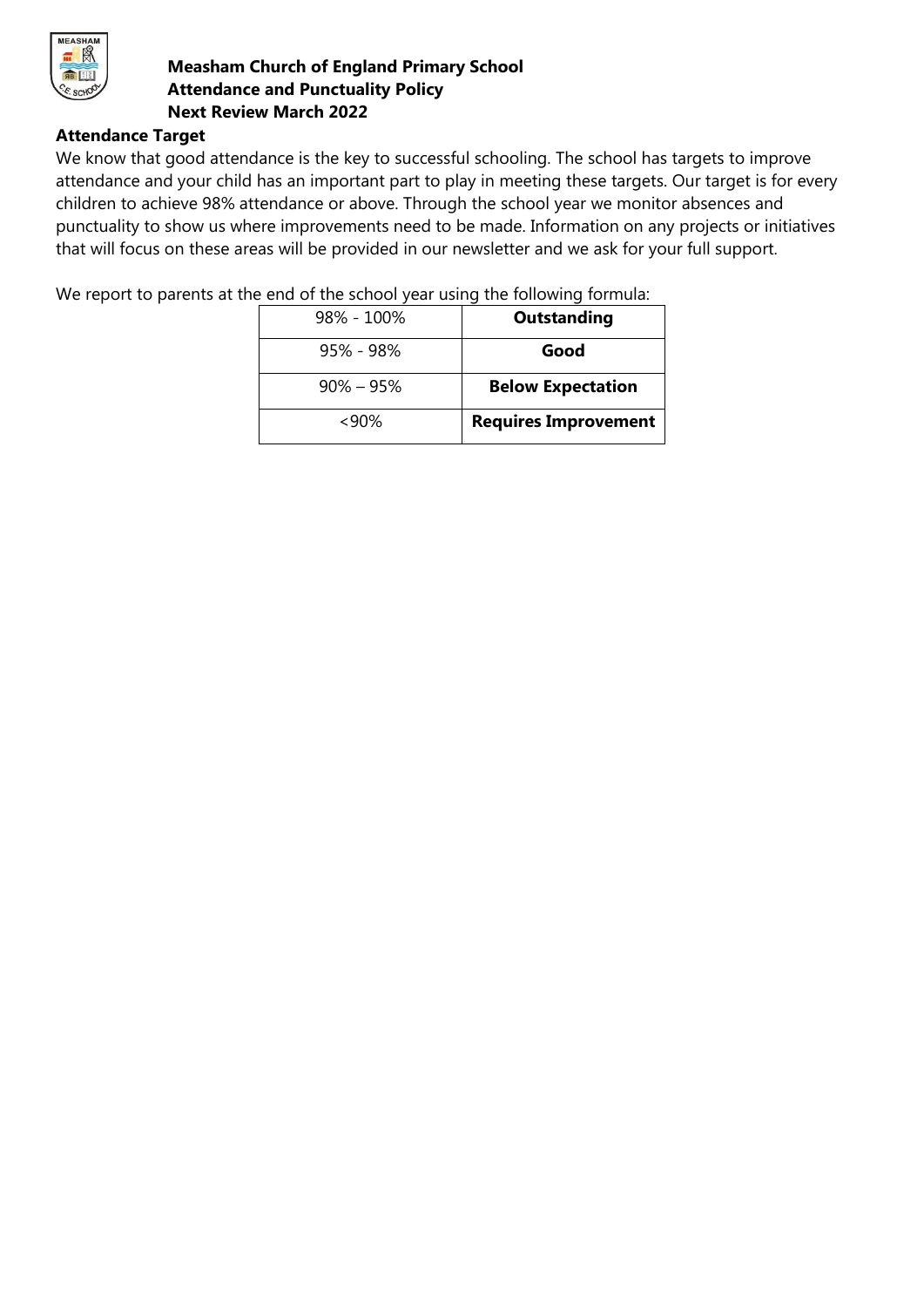

#### **Attendance Target**

We know that good attendance is the key to successful schooling. The school has targets to improve attendance and your child has an important part to play in meeting these targets. Our target is for every children to achieve 98% attendance or above. Through the school year we monitor absences and punctuality to show us where improvements need to be made. Information on any projects or initiatives that will focus on these areas will be provided in our newsletter and we ask for your full support.

We report to parents at the end of the school year using the following formula:

| <b>Outstanding</b>          | $98\% - 100\%$ |
|-----------------------------|----------------|
| Good                        | 95% - 98%      |
| <b>Below Expectation</b>    | $90\% - 95\%$  |
| <b>Requires Improvement</b> | $~<$ 90%       |